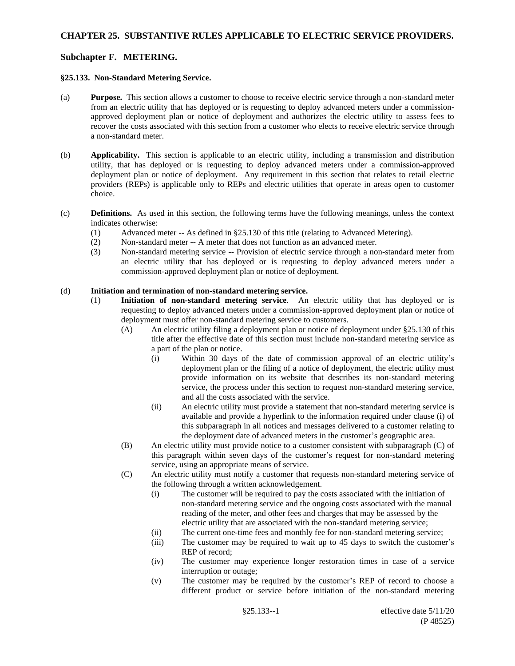### **CHAPTER 25. SUBSTANTIVE RULES APPLICABLE TO ELECTRIC SERVICE PROVIDERS.**

### **Subchapter F. METERING.**

#### **§25.133. Non-Standard Metering Service.**

- (a) **Purpose.** This section allows a customer to choose to receive electric service through a non-standard meter from an electric utility that has deployed or is requesting to deploy advanced meters under a commissionapproved deployment plan or notice of deployment and authorizes the electric utility to assess fees to recover the costs associated with this section from a customer who elects to receive electric service through a non-standard meter.
- (b) **Applicability.** This section is applicable to an electric utility, including a transmission and distribution utility, that has deployed or is requesting to deploy advanced meters under a commission-approved deployment plan or notice of deployment. Any requirement in this section that relates to retail electric providers (REPs) is applicable only to REPs and electric utilities that operate in areas open to customer choice.
- (c) **Definitions.** As used in this section, the following terms have the following meanings, unless the context indicates otherwise:
	- (1) Advanced meter -- As defined in §25.130 of this title (relating to Advanced Metering).
	- (2) Non-standard meter -- A meter that does not function as an advanced meter.
	- (3) Non-standard metering service -- Provision of electric service through a non-standard meter from an electric utility that has deployed or is requesting to deploy advanced meters under a commission-approved deployment plan or notice of deployment.

### (d) **Initiation and termination of non-standard metering service.**

- (1) **Initiation of non-standard metering service**. An electric utility that has deployed or is requesting to deploy advanced meters under a commission-approved deployment plan or notice of deployment must offer non-standard metering service to customers.
	- (A) An electric utility filing a deployment plan or notice of deployment under §25.130 of this title after the effective date of this section must include non-standard metering service as a part of the plan or notice.
		- (i) Within 30 days of the date of commission approval of an electric utility's deployment plan or the filing of a notice of deployment, the electric utility must provide information on its website that describes its non-standard metering service, the process under this section to request non-standard metering service, and all the costs associated with the service.
		- (ii) An electric utility must provide a statement that non-standard metering service is available and provide a hyperlink to the information required under clause (i) of this subparagraph in all notices and messages delivered to a customer relating to the deployment date of advanced meters in the customer's geographic area.
	- (B) An electric utility must provide notice to a customer consistent with subparagraph (C) of this paragraph within seven days of the customer's request for non-standard metering service, using an appropriate means of service.
	- (C) An electric utility must notify a customer that requests non-standard metering service of the following through a written acknowledgement.
		- (i) The customer will be required to pay the costs associated with the initiation of non-standard metering service and the ongoing costs associated with the manual reading of the meter, and other fees and charges that may be assessed by the electric utility that are associated with the non-standard metering service;
		- (ii) The current one-time fees and monthly fee for non-standard metering service;
		- (iii) The customer may be required to wait up to 45 days to switch the customer's REP of record;
		- (iv) The customer may experience longer restoration times in case of a service interruption or outage;
		- (v) The customer may be required by the customer's REP of record to choose a different product or service before initiation of the non-standard metering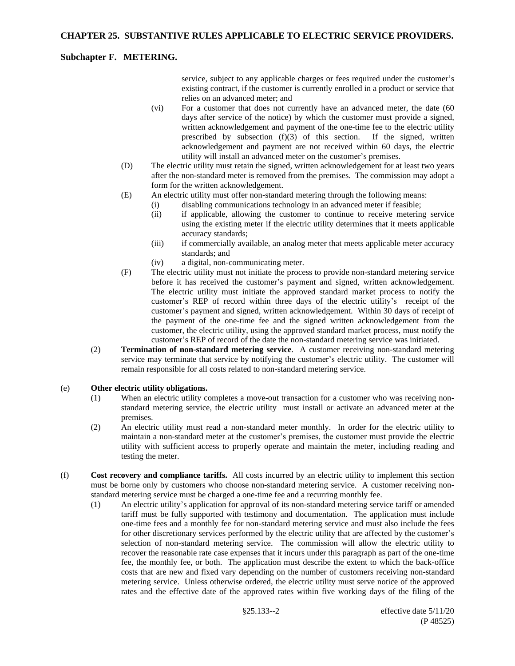# **Subchapter F. METERING.**

service, subject to any applicable charges or fees required under the customer's existing contract, if the customer is currently enrolled in a product or service that relies on an advanced meter; and

- (vi) For a customer that does not currently have an advanced meter, the date (60 days after service of the notice) by which the customer must provide a signed, written acknowledgement and payment of the one-time fee to the electric utility prescribed by subsection (f)(3) of this section. If the signed, written acknowledgement and payment are not received within 60 days, the electric utility will install an advanced meter on the customer's premises.
- (D) The electric utility must retain the signed, written acknowledgement for at least two years after the non-standard meter is removed from the premises. The commission may adopt a form for the written acknowledgement.
- (E) An electric utility must offer non-standard metering through the following means:
	- (i) disabling communications technology in an advanced meter if feasible;
		- (ii) if applicable, allowing the customer to continue to receive metering service using the existing meter if the electric utility determines that it meets applicable accuracy standards;
		- (iii) if commercially available, an analog meter that meets applicable meter accuracy standards; and
		- (iv) a digital, non-communicating meter.
- (F) The electric utility must not initiate the process to provide non-standard metering service before it has received the customer's payment and signed, written acknowledgement. The electric utility must initiate the approved standard market process to notify the customer's REP of record within three days of the electric utility's receipt of the customer's payment and signed, written acknowledgement. Within 30 days of receipt of the payment of the one-time fee and the signed written acknowledgement from the customer, the electric utility, using the approved standard market process, must notify the customer's REP of record of the date the non-standard metering service was initiated.
- (2) **Termination of non-standard metering service**. A customer receiving non-standard metering service may terminate that service by notifying the customer's electric utility. The customer will remain responsible for all costs related to non-standard metering service.

### (e) **Other electric utility obligations.**

- (1) When an electric utility completes a move-out transaction for a customer who was receiving nonstandard metering service, the electric utility must install or activate an advanced meter at the premises.
- (2) An electric utility must read a non-standard meter monthly. In order for the electric utility to maintain a non-standard meter at the customer's premises, the customer must provide the electric utility with sufficient access to properly operate and maintain the meter, including reading and testing the meter.
- (f) **Cost recovery and compliance tariffs.** All costs incurred by an electric utility to implement this section must be borne only by customers who choose non-standard metering service. A customer receiving nonstandard metering service must be charged a one-time fee and a recurring monthly fee.
	- (1) An electric utility's application for approval of its non-standard metering service tariff or amended tariff must be fully supported with testimony and documentation. The application must include one-time fees and a monthly fee for non-standard metering service and must also include the fees for other discretionary services performed by the electric utility that are affected by the customer's selection of non-standard metering service. The commission will allow the electric utility to recover the reasonable rate case expenses that it incurs under this paragraph as part of the one-time fee, the monthly fee, or both. The application must describe the extent to which the back-office costs that are new and fixed vary depending on the number of customers receiving non-standard metering service. Unless otherwise ordered, the electric utility must serve notice of the approved rates and the effective date of the approved rates within five working days of the filing of the